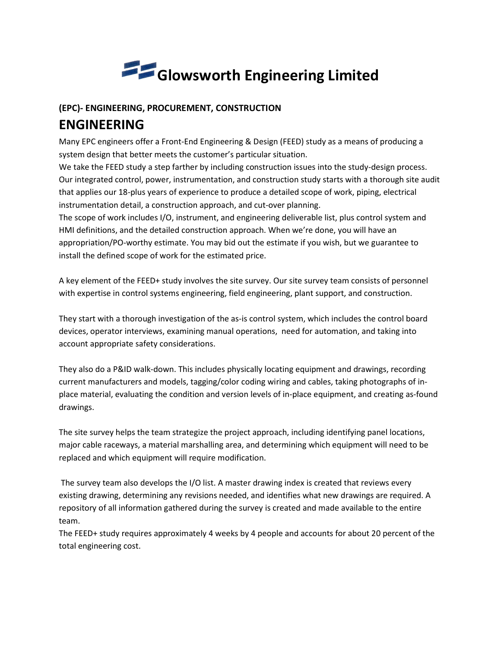

## (EPC)- ENGINEERING, PROCUREMENT, CONSTRUCTION ENGINEERING

Many EPC engineers offer a Front-End Engineering & Design (FEED) study as a means of producing a system design that better meets the customer's particular situation.

We take the FEED study a step farther by including construction issues into the study-design process. Our integrated control, power, instrumentation, and construction study starts with a thorough site audit that applies our 18-plus years of experience to produce a detailed scope of work, piping, electrical instrumentation detail, a construction approach, and cut-over planning.

The scope of work includes I/O, instrument, and engineering deliverable list, plus control system and HMI definitions, and the detailed construction approach. When we're done, you will have an appropriation/PO-worthy estimate. You may bid out the estimate if you wish, but we guarantee to install the defined scope of work for the estimated price.

A key element of the FEED+ study involves the site survey. Our site survey team consists of personnel with expertise in control systems engineering, field engineering, plant support, and construction.

They start with a thorough investigation of the as-is control system, which includes the control board devices, operator interviews, examining manual operations, need for automation, and taking into account appropriate safety considerations.

They also do a P&ID walk-down. This includes physically locating equipment and drawings, recording current manufacturers and models, tagging/color coding wiring and cables, taking photographs of inplace material, evaluating the condition and version levels of in-place equipment, and creating as-found drawings.

The site survey helps the team strategize the project approach, including identifying panel locations, major cable raceways, a material marshalling area, and determining which equipment will need to be replaced and which equipment will require modification.

 The survey team also develops the I/O list. A master drawing index is created that reviews every existing drawing, determining any revisions needed, and identifies what new drawings are required. A repository of all information gathered during the survey is created and made available to the entire team.

The FEED+ study requires approximately 4 weeks by 4 people and accounts for about 20 percent of the total engineering cost.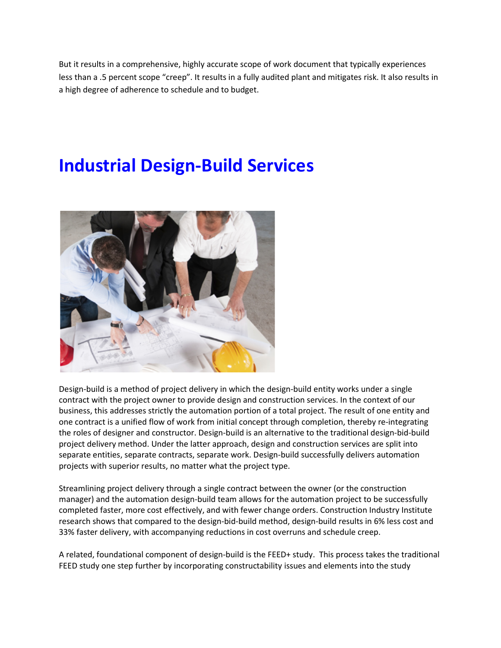But it results in a comprehensive, highly accurate scope of work document that typically experiences less than a .5 percent scope "creep". It results in a fully audited plant and mitigates risk. It also results in a high degree of adherence to schedule and to budget.

# Industrial Design-Build Services



Design-build is a method of project delivery in which the design-build entity works under a single contract with the project owner to provide design and construction services. In the context of our business, this addresses strictly the automation portion of a total project. The result of one entity and one contract is a unified flow of work from initial concept through completion, thereby re-integrating the roles of designer and constructor. Design-build is an alternative to the traditional design-bid-build project delivery method. Under the latter approach, design and construction services are split into separate entities, separate contracts, separate work. Design-build successfully delivers automation projects with superior results, no matter what the project type.

Streamlining project delivery through a single contract between the owner (or the construction manager) and the automation design-build team allows for the automation project to be successfully completed faster, more cost effectively, and with fewer change orders. Construction Industry Institute research shows that compared to the design-bid-build method, design-build results in 6% less cost and 33% faster delivery, with accompanying reductions in cost overruns and schedule creep.

A related, foundational component of design-build is the FEED+ study. This process takes the traditional FEED study one step further by incorporating constructability issues and elements into the study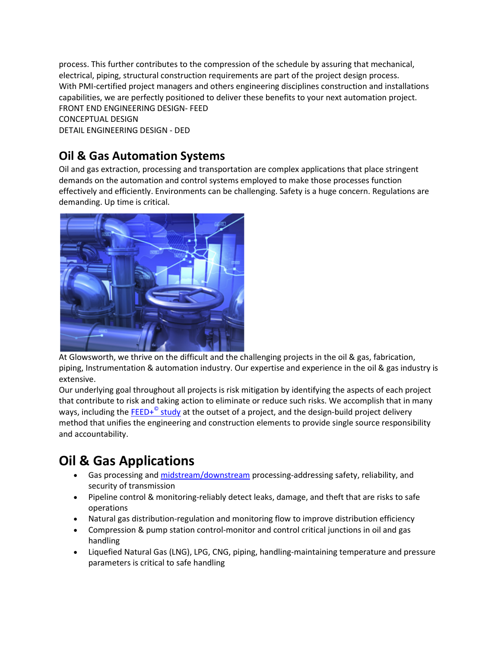process. This further contributes to the compression of the schedule by assuring that mechanical, electrical, piping, structural construction requirements are part of the project design process. With PMI-certified project managers and others engineering disciplines construction and installations capabilities, we are perfectly positioned to deliver these benefits to your next automation project. FRONT END ENGINEERING DESIGN- FEED CONCEPTUAL DESIGN DETAIL ENGINEERING DESIGN - DED

## Oil & Gas Automation Systems

Oil and gas extraction, processing and transportation are complex applications that place stringent demands on the automation and control systems employed to make those processes function effectively and efficiently. Environments can be challenging. Safety is a huge concern. Regulations are demanding. Up time is critical.



At Glowsworth, we thrive on the difficult and the challenging projects in the oil & gas, fabrication, piping, Instrumentation & automation industry. Our expertise and experience in the oil & gas industry is extensive.

Our underlying goal throughout all projects is risk mitigation by identifying the aspects of each project that contribute to risk and taking action to eliminate or reduce such risks. We accomplish that in many ways, including the **FEED+<sup>©</sup> study** at the outset of a project, and the design-build project delivery method that unifies the engineering and construction elements to provide single source responsibility and accountability.

## Oil & Gas Applications

- Gas processing and midstream/downstream processing-addressing safety, reliability, and security of transmission
- Pipeline control & monitoring-reliably detect leaks, damage, and theft that are risks to safe operations
- Natural gas distribution-regulation and monitoring flow to improve distribution efficiency
- Compression & pump station control-monitor and control critical junctions in oil and gas handling
- Liquefied Natural Gas (LNG), LPG, CNG, piping, handling-maintaining temperature and pressure parameters is critical to safe handling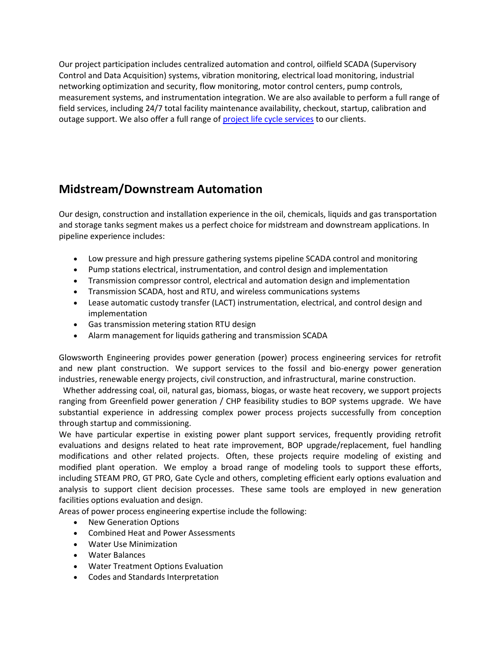Our project participation includes centralized automation and control, oilfield SCADA (Supervisory Control and Data Acquisition) systems, vibration monitoring, electrical load monitoring, industrial networking optimization and security, flow monitoring, motor control centers, pump controls, measurement systems, and instrumentation integration. We are also available to perform a full range of field services, including 24/7 total facility maintenance availability, checkout, startup, calibration and outage support. We also offer a full range of project life cycle services to our clients.

#### Midstream/Downstream Automation

Our design, construction and installation experience in the oil, chemicals, liquids and gas transportation and storage tanks segment makes us a perfect choice for midstream and downstream applications. In pipeline experience includes:

- Low pressure and high pressure gathering systems pipeline SCADA control and monitoring
- Pump stations electrical, instrumentation, and control design and implementation
- Transmission compressor control, electrical and automation design and implementation
- Transmission SCADA, host and RTU, and wireless communications systems
- Lease automatic custody transfer (LACT) instrumentation, electrical, and control design and implementation
- Gas transmission metering station RTU design
- Alarm management for liquids gathering and transmission SCADA

Glowsworth Engineering provides power generation (power) process engineering services for retrofit and new plant construction. We support services to the fossil and bio-energy power generation industries, renewable energy projects, civil construction, and infrastructural, marine construction.

 Whether addressing coal, oil, natural gas, biomass, biogas, or waste heat recovery, we support projects ranging from Greenfield power generation / CHP feasibility studies to BOP systems upgrade. We have substantial experience in addressing complex power process projects successfully from conception through startup and commissioning.

We have particular expertise in existing power plant support services, frequently providing retrofit evaluations and designs related to heat rate improvement, BOP upgrade/replacement, fuel handling modifications and other related projects. Often, these projects require modeling of existing and modified plant operation. We employ a broad range of modeling tools to support these efforts, including STEAM PRO, GT PRO, Gate Cycle and others, completing efficient early options evaluation and analysis to support client decision processes. These same tools are employed in new generation facilities options evaluation and design.

Areas of power process engineering expertise include the following:

- New Generation Options
- Combined Heat and Power Assessments
- Water Use Minimization
- Water Balances
- Water Treatment Options Evaluation
- Codes and Standards Interpretation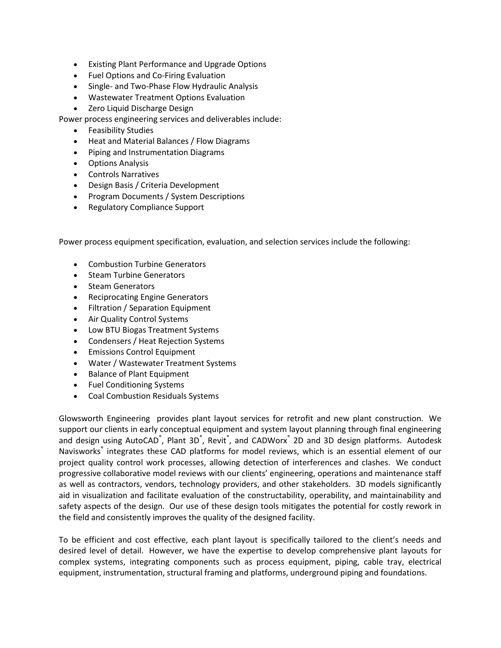- Existing Plant Performance and Upgrade Options
- Fuel Options and Co-Firing Evaluation
- Single- and Two-Phase Flow Hydraulic Analysis
- Wastewater Treatment Options Evaluation
- Zero Liquid Discharge Design

Power process engineering services and deliverables include:

- Feasibility Studies
- Heat and Material Balances / Flow Diagrams
- Piping and Instrumentation Diagrams
- Options Analysis
- Controls Narratives
- Design Basis / Criteria Development
- Program Documents / System Descriptions
- Regulatory Compliance Support

Power process equipment specification, evaluation, and selection services include the following:

- Combustion Turbine Generators
- Steam Turbine Generators
- Steam Generators
- Reciprocating Engine Generators
- Filtration / Separation Equipment
- Air Quality Control Systems
- Low BTU Biogas Treatment Systems
- Condensers / Heat Rejection Systems
- **•** Emissions Control Equipment
- Water / Wastewater Treatment Systems
- Balance of Plant Equipment
- Fuel Conditioning Systems
- Coal Combustion Residuals Systems

Glowsworth Engineering provides plant layout services for retrofit and new plant construction. We support our clients in early conceptual equipment and system layout planning through final engineering and design using AutoCAD®, Plant 3D®, Revit®, and CADWorx® 2D and 3D design platforms. Autodesk Navisworks<sup>®</sup> integrates these CAD platforms for model reviews, which is an essential element of our project quality control work processes, allowing detection of interferences and clashes. We conduct progressive collaborative model reviews with our clients' engineering, operations and maintenance staff as well as contractors, vendors, technology providers, and other stakeholders. 3D models significantly aid in visualization and facilitate evaluation of the constructability, operability, and maintainability and safety aspects of the design. Our use of these design tools mitigates the potential for costly rework in the field and consistently improves the quality of the designed facility.

To be efficient and cost effective, each plant layout is specifically tailored to the client's needs and desired level of detail. However, we have the expertise to develop comprehensive plant layouts for complex systems, integrating components such as process equipment, piping, cable tray, electrical equipment, instrumentation, structural framing and platforms, underground piping and foundations.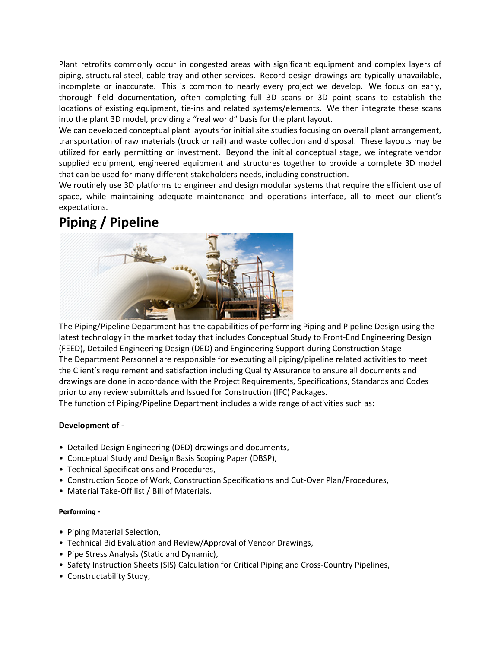Plant retrofits commonly occur in congested areas with significant equipment and complex layers of piping, structural steel, cable tray and other services. Record design drawings are typically unavailable, incomplete or inaccurate. This is common to nearly every project we develop. We focus on early, thorough field documentation, often completing full 3D scans or 3D point scans to establish the locations of existing equipment, tie-ins and related systems/elements. We then integrate these scans into the plant 3D model, providing a "real world" basis for the plant layout.

We can developed conceptual plant layouts for initial site studies focusing on overall plant arrangement, transportation of raw materials (truck or rail) and waste collection and disposal. These layouts may be utilized for early permitting or investment. Beyond the initial conceptual stage, we integrate vendor supplied equipment, engineered equipment and structures together to provide a complete 3D model that can be used for many different stakeholders needs, including construction.

We routinely use 3D platforms to engineer and design modular systems that require the efficient use of space, while maintaining adequate maintenance and operations interface, all to meet our client's expectations.

## Piping / Pipeline



The Piping/Pipeline Department has the capabilities of performing Piping and Pipeline Design using the latest technology in the market today that includes Conceptual Study to Front-End Engineering Design (FEED), Detailed Engineering Design (DED) and Engineering Support during Construction Stage The Department Personnel are responsible for executing all piping/pipeline related activities to meet the Client's requirement and satisfaction including Quality Assurance to ensure all documents and drawings are done in accordance with the Project Requirements, Specifications, Standards and Codes prior to any review submittals and Issued for Construction (IFC) Packages.

The function of Piping/Pipeline Department includes a wide range of activities such as:

#### Development of -

- Detailed Design Engineering (DED) drawings and documents,
- Conceptual Study and Design Basis Scoping Paper (DBSP),
- Technical Specifications and Procedures,
- Construction Scope of Work, Construction Specifications and Cut-Over Plan/Procedures,
- Material Take-Off list / Bill of Materials.

#### Performing -

- Piping Material Selection,
- Technical Bid Evaluation and Review/Approval of Vendor Drawings,
- Pipe Stress Analysis (Static and Dynamic),
- Safety Instruction Sheets (SIS) Calculation for Critical Piping and Cross-Country Pipelines,
- Constructability Study,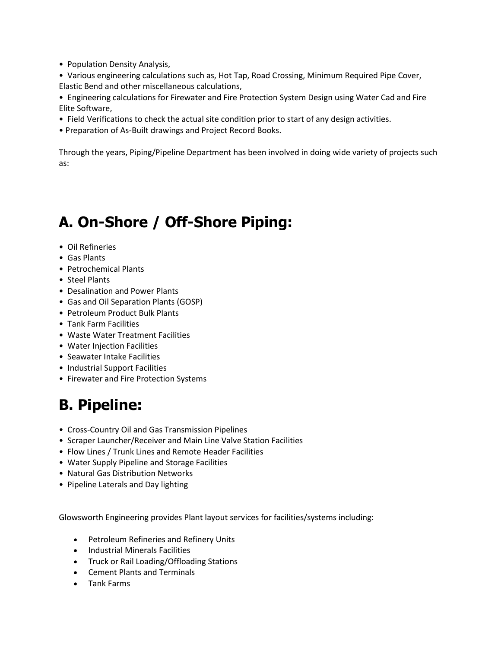- Population Density Analysis,
- Various engineering calculations such as, Hot Tap, Road Crossing, Minimum Required Pipe Cover, Elastic Bend and other miscellaneous calculations,
- Engineering calculations for Firewater and Fire Protection System Design using Water Cad and Fire Elite Software,
- Field Verifications to check the actual site condition prior to start of any design activities.
- Preparation of As-Built drawings and Project Record Books.

Through the years, Piping/Pipeline Department has been involved in doing wide variety of projects such as:

# A. On-Shore / Off-Shore Piping:

- Oil Refineries
- Gas Plants
- Petrochemical Plants
- Steel Plants
- Desalination and Power Plants
- Gas and Oil Separation Plants (GOSP)
- Petroleum Product Bulk Plants
- Tank Farm Facilities
- Waste Water Treatment Facilities
- Water Injection Facilities
- Seawater Intake Facilities
- Industrial Support Facilities
- Firewater and Fire Protection Systems

# B. Pipeline:

- Cross-Country Oil and Gas Transmission Pipelines
- Scraper Launcher/Receiver and Main Line Valve Station Facilities
- Flow Lines / Trunk Lines and Remote Header Facilities
- Water Supply Pipeline and Storage Facilities
- Natural Gas Distribution Networks
- Pipeline Laterals and Day lighting

Glowsworth Engineering provides Plant layout services for facilities/systems including:

- Petroleum Refineries and Refinery Units
- Industrial Minerals Facilities
- Truck or Rail Loading/Offloading Stations
- Cement Plants and Terminals
- Tank Farms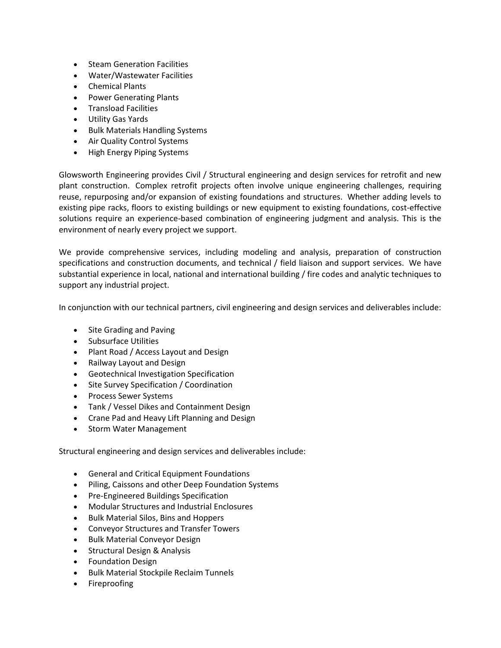- Steam Generation Facilities
- Water/Wastewater Facilities
- Chemical Plants
- Power Generating Plants
- Transload Facilities
- Utility Gas Yards
- Bulk Materials Handling Systems
- Air Quality Control Systems
- High Energy Piping Systems

Glowsworth Engineering provides Civil / Structural engineering and design services for retrofit and new plant construction. Complex retrofit projects often involve unique engineering challenges, requiring reuse, repurposing and/or expansion of existing foundations and structures. Whether adding levels to existing pipe racks, floors to existing buildings or new equipment to existing foundations, cost-effective solutions require an experience-based combination of engineering judgment and analysis. This is the environment of nearly every project we support.

We provide comprehensive services, including modeling and analysis, preparation of construction specifications and construction documents, and technical / field liaison and support services. We have substantial experience in local, national and international building / fire codes and analytic techniques to support any industrial project.

In conjunction with our technical partners, civil engineering and design services and deliverables include:

- Site Grading and Paving
- Subsurface Utilities
- Plant Road / Access Layout and Design
- Railway Layout and Design
- Geotechnical Investigation Specification
- Site Survey Specification / Coordination
- Process Sewer Systems
- Tank / Vessel Dikes and Containment Design
- Crane Pad and Heavy Lift Planning and Design
- Storm Water Management

Structural engineering and design services and deliverables include:

- General and Critical Equipment Foundations
- Piling, Caissons and other Deep Foundation Systems
- Pre-Engineered Buildings Specification
- Modular Structures and Industrial Enclosures
- Bulk Material Silos, Bins and Hoppers
- Conveyor Structures and Transfer Towers
- Bulk Material Conveyor Design
- Structural Design & Analysis
- **•** Foundation Design
- **•** Bulk Material Stockpile Reclaim Tunnels
- Fireproofing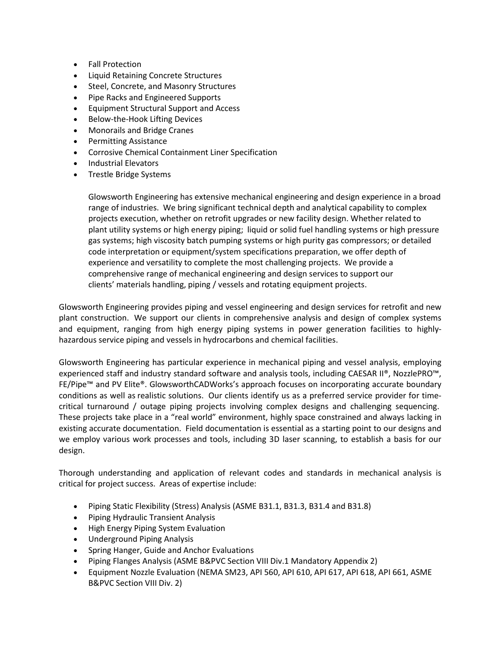- Fall Protection
- Liquid Retaining Concrete Structures
- Steel, Concrete, and Masonry Structures
- Pipe Racks and Engineered Supports
- Equipment Structural Support and Access
- Below-the-Hook Lifting Devices
- Monorails and Bridge Cranes
- Permitting Assistance
- Corrosive Chemical Containment Liner Specification
- Industrial Elevators
- Trestle Bridge Systems

Glowsworth Engineering has extensive mechanical engineering and design experience in a broad range of industries. We bring significant technical depth and analytical capability to complex projects execution, whether on retrofit upgrades or new facility design. Whether related to plant utility systems or high energy piping; liquid or solid fuel handling systems or high pressure gas systems; high viscosity batch pumping systems or high purity gas compressors; or detailed code interpretation or equipment/system specifications preparation, we offer depth of experience and versatility to complete the most challenging projects. We provide a comprehensive range of mechanical engineering and design services to support our clients' materials handling, piping / vessels and rotating equipment projects.

Glowsworth Engineering provides piping and vessel engineering and design services for retrofit and new plant construction. We support our clients in comprehensive analysis and design of complex systems and equipment, ranging from high energy piping systems in power generation facilities to highlyhazardous service piping and vessels in hydrocarbons and chemical facilities.

Glowsworth Engineering has particular experience in mechanical piping and vessel analysis, employing experienced staff and industry standard software and analysis tools, including CAESAR II®, NozzlePRO™, FE/Pipe™ and PV Elite®. GlowsworthCADWorks's approach focuses on incorporating accurate boundary conditions as well as realistic solutions. Our clients identify us as a preferred service provider for timecritical turnaround / outage piping projects involving complex designs and challenging sequencing. These projects take place in a "real world" environment, highly space constrained and always lacking in existing accurate documentation. Field documentation is essential as a starting point to our designs and we employ various work processes and tools, including 3D laser scanning, to establish a basis for our design.

Thorough understanding and application of relevant codes and standards in mechanical analysis is critical for project success. Areas of expertise include:

- Piping Static Flexibility (Stress) Analysis (ASME B31.1, B31.3, B31.4 and B31.8)
- Piping Hydraulic Transient Analysis
- High Energy Piping System Evaluation
- Underground Piping Analysis
- Spring Hanger, Guide and Anchor Evaluations
- Piping Flanges Analysis (ASME B&PVC Section VIII Div.1 Mandatory Appendix 2)
- Equipment Nozzle Evaluation (NEMA SM23, API 560, API 610, API 617, API 618, API 661, ASME B&PVC Section VIII Div. 2)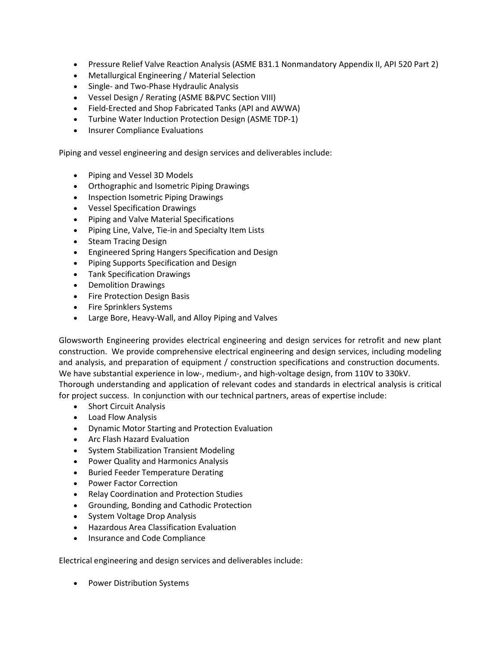- Pressure Relief Valve Reaction Analysis (ASME B31.1 Nonmandatory Appendix II, API 520 Part 2)
- Metallurgical Engineering / Material Selection
- Single- and Two-Phase Hydraulic Analysis
- Vessel Design / Rerating (ASME B&PVC Section VIII)
- Field-Erected and Shop Fabricated Tanks (API and AWWA)
- Turbine Water Induction Protection Design (ASME TDP-1)
- Insurer Compliance Evaluations

Piping and vessel engineering and design services and deliverables include:

- Piping and Vessel 3D Models
- Orthographic and Isometric Piping Drawings
- Inspection Isometric Piping Drawings
- Vessel Specification Drawings
- Piping and Valve Material Specifications
- Piping Line, Valve, Tie-in and Specialty Item Lists
- Steam Tracing Design
- Engineered Spring Hangers Specification and Design
- Piping Supports Specification and Design
- Tank Specification Drawings
- Demolition Drawings
- Fire Protection Design Basis
- Fire Sprinklers Systems
- Large Bore, Heavy-Wall, and Alloy Piping and Valves

Glowsworth Engineering provides electrical engineering and design services for retrofit and new plant construction. We provide comprehensive electrical engineering and design services, including modeling and analysis, and preparation of equipment / construction specifications and construction documents. We have substantial experience in low-, medium-, and high-voltage design, from 110V to 330kV. Thorough understanding and application of relevant codes and standards in electrical analysis is critical for project success. In conjunction with our technical partners, areas of expertise include:

- Short Circuit Analysis
- Load Flow Analysis
- Dynamic Motor Starting and Protection Evaluation
- Arc Flash Hazard Evaluation
- System Stabilization Transient Modeling
- Power Quality and Harmonics Analysis
- Buried Feeder Temperature Derating
- Power Factor Correction
- Relay Coordination and Protection Studies
- Grounding, Bonding and Cathodic Protection
- System Voltage Drop Analysis
- Hazardous Area Classification Evaluation
- Insurance and Code Compliance

Electrical engineering and design services and deliverables include:

• Power Distribution Systems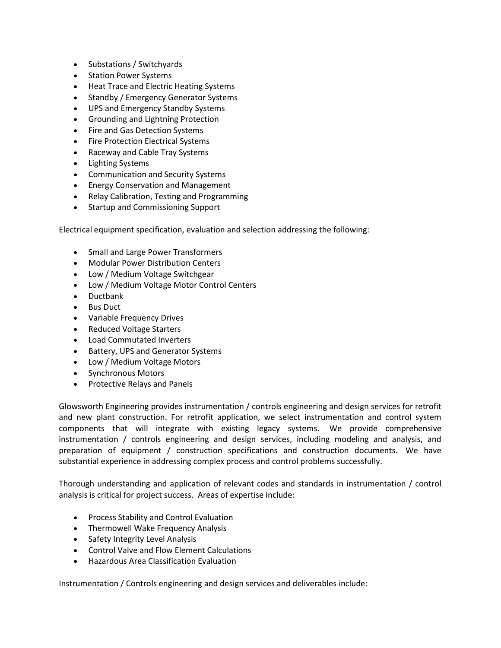- Substations / Switchyards
- Station Power Systems
- Heat Trace and Electric Heating Systems
- Standby / Emergency Generator Systems
- UPS and Emergency Standby Systems
- Grounding and Lightning Protection
- Fire and Gas Detection Systems
- Fire Protection Electrical Systems
- Raceway and Cable Tray Systems
- Lighting Systems
- Communication and Security Systems
- Energy Conservation and Management
- Relay Calibration, Testing and Programming
- Startup and Commissioning Support

Electrical equipment specification, evaluation and selection addressing the following:

- Small and Large Power Transformers
- Modular Power Distribution Centers
- Low / Medium Voltage Switchgear
- Low / Medium Voltage Motor Control Centers
- Ductbank
- Bus Duct
- Variable Frequency Drives
- Reduced Voltage Starters
- Load Commutated Inverters
- Battery, UPS and Generator Systems
- Low / Medium Voltage Motors
- Synchronous Motors
- Protective Relays and Panels

Glowsworth Engineering provides instrumentation / controls engineering and design services for retrofit and new plant construction. For retrofit application, we select instrumentation and control system components that will integrate with existing legacy systems. We provide comprehensive instrumentation / controls engineering and design services, including modeling and analysis, and preparation of equipment / construction specifications and construction documents. We have substantial experience in addressing complex process and control problems successfully.

Thorough understanding and application of relevant codes and standards in instrumentation / control analysis is critical for project success. Areas of expertise include:

- Process Stability and Control Evaluation
- Thermowell Wake Frequency Analysis
- Safety Integrity Level Analysis
- Control Valve and Flow Element Calculations
- Hazardous Area Classification Evaluation

Instrumentation / Controls engineering and design services and deliverables include: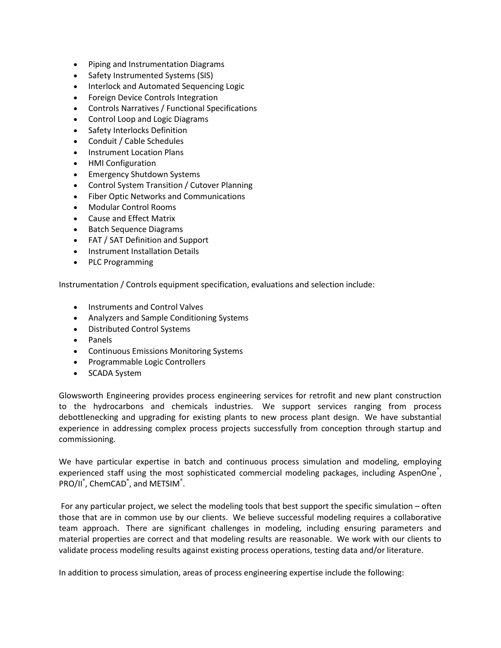- Piping and Instrumentation Diagrams
- Safety Instrumented Systems (SIS)
- Interlock and Automated Sequencing Logic
- Foreign Device Controls Integration
- Controls Narratives / Functional Specifications
- Control Loop and Logic Diagrams
- Safety Interlocks Definition
- Conduit / Cable Schedules
- Instrument Location Plans
- HMI Configuration
- Emergency Shutdown Systems
- Control System Transition / Cutover Planning
- Fiber Optic Networks and Communications
- Modular Control Rooms
- Cause and Effect Matrix
- Batch Sequence Diagrams
- FAT / SAT Definition and Support
- Instrument Installation Details
- PLC Programming

Instrumentation / Controls equipment specification, evaluations and selection include:

- Instruments and Control Valves
- Analyzers and Sample Conditioning Systems
- Distributed Control Systems
- Panels
- Continuous Emissions Monitoring Systems
- Programmable Logic Controllers
- SCADA System

Glowsworth Engineering provides process engineering services for retrofit and new plant construction to the hydrocarbons and chemicals industries. We support services ranging from process debottlenecking and upgrading for existing plants to new process plant design. We have substantial experience in addressing complex process projects successfully from conception through startup and commissioning.

We have particular expertise in batch and continuous process simulation and modeling, employing experienced staff using the most sophisticated commercial modeling packages, including AspenOne<sup>®</sup>, PRO/II<sup>®</sup>, ChemCAD<sup>®</sup>, and METSIM<sup>®</sup>.

 For any particular project, we select the modeling tools that best support the specific simulation – often those that are in common use by our clients. We believe successful modeling requires a collaborative team approach. There are significant challenges in modeling, including ensuring parameters and material properties are correct and that modeling results are reasonable. We work with our clients to validate process modeling results against existing process operations, testing data and/or literature.

In addition to process simulation, areas of process engineering expertise include the following: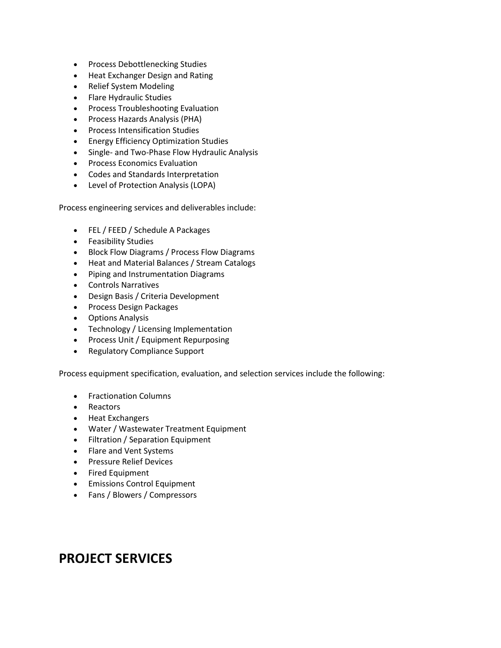- Process Debottlenecking Studies
- Heat Exchanger Design and Rating
- Relief System Modeling
- Flare Hydraulic Studies
- Process Troubleshooting Evaluation
- Process Hazards Analysis (PHA)
- Process Intensification Studies
- **•** Energy Efficiency Optimization Studies
- Single- and Two-Phase Flow Hydraulic Analysis
- **•** Process Economics Evaluation
- Codes and Standards Interpretation
- Level of Protection Analysis (LOPA)

Process engineering services and deliverables include:

- FEL / FEED / Schedule A Packages
- Feasibility Studies
- Block Flow Diagrams / Process Flow Diagrams
- Heat and Material Balances / Stream Catalogs
- Piping and Instrumentation Diagrams
- Controls Narratives
- Design Basis / Criteria Development
- Process Design Packages
- Options Analysis
- Technology / Licensing Implementation
- Process Unit / Equipment Repurposing
- Regulatory Compliance Support

Process equipment specification, evaluation, and selection services include the following:

- Fractionation Columns
- Reactors
- Heat Exchangers
- Water / Wastewater Treatment Equipment
- Filtration / Separation Equipment
- Flare and Vent Systems
- **•** Pressure Relief Devices
- Fired Equipment
- **•** Emissions Control Equipment
- Fans / Blowers / Compressors

### PROJECT SERVICES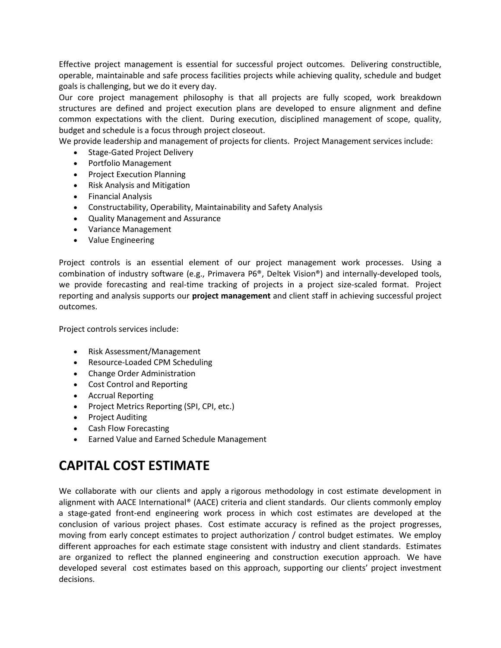Effective project management is essential for successful project outcomes. Delivering constructible, operable, maintainable and safe process facilities projects while achieving quality, schedule and budget goals is challenging, but we do it every day.

Our core project management philosophy is that all projects are fully scoped, work breakdown structures are defined and project execution plans are developed to ensure alignment and define common expectations with the client. During execution, disciplined management of scope, quality, budget and schedule is a focus through project closeout.

We provide leadership and management of projects for clients. Project Management services include:

- Stage-Gated Project Delivery
- Portfolio Management
- Project Execution Planning
- Risk Analysis and Mitigation
- Financial Analysis
- Constructability, Operability, Maintainability and Safety Analysis
- Quality Management and Assurance
- Variance Management
- Value Engineering

Project controls is an essential element of our project management work processes. Using a combination of industry software (e.g., Primavera P6®, Deltek Vision®) and internally-developed tools, we provide forecasting and real-time tracking of projects in a project size-scaled format. Project reporting and analysis supports our project management and client staff in achieving successful project outcomes.

Project controls services include:

- Risk Assessment/Management
- Resource-Loaded CPM Scheduling
- Change Order Administration
- Cost Control and Reporting
- Accrual Reporting
- Project Metrics Reporting (SPI, CPI, etc.)
- Project Auditing
- Cash Flow Forecasting
- Earned Value and Earned Schedule Management

## CAPITAL COST ESTIMATE

We collaborate with our clients and apply a rigorous methodology in cost estimate development in alignment with AACE International® (AACE) criteria and client standards. Our clients commonly employ a stage-gated front-end engineering work process in which cost estimates are developed at the conclusion of various project phases. Cost estimate accuracy is refined as the project progresses, moving from early concept estimates to project authorization / control budget estimates. We employ different approaches for each estimate stage consistent with industry and client standards. Estimates are organized to reflect the planned engineering and construction execution approach. We have developed several cost estimates based on this approach, supporting our clients' project investment decisions.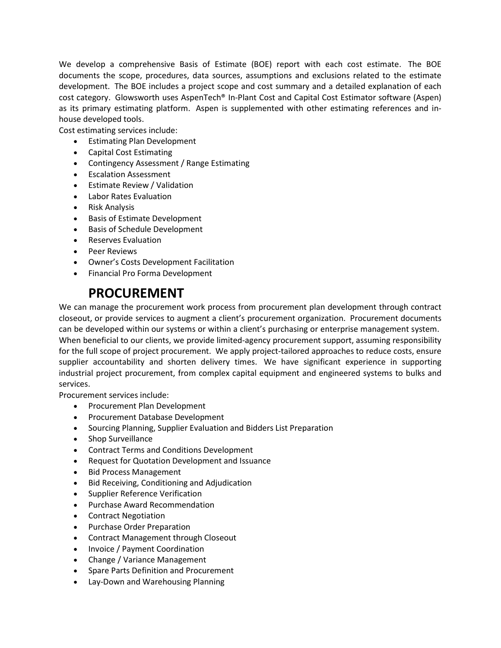We develop a comprehensive Basis of Estimate (BOE) report with each cost estimate. The BOE documents the scope, procedures, data sources, assumptions and exclusions related to the estimate development. The BOE includes a project scope and cost summary and a detailed explanation of each cost category. Glowsworth uses AspenTech® In-Plant Cost and Capital Cost Estimator software (Aspen) as its primary estimating platform. Aspen is supplemented with other estimating references and inhouse developed tools.

Cost estimating services include:

- **•** Estimating Plan Development
- Capital Cost Estimating
- Contingency Assessment / Range Estimating
- **•** Escalation Assessment
- Estimate Review / Validation
- Labor Rates Evaluation
- Risk Analysis
- Basis of Estimate Development
- Basis of Schedule Development
- Reserves Evaluation
- Peer Reviews
- Owner's Costs Development Facilitation
- Financial Pro Forma Development

## PROCUREMENT

We can manage the procurement work process from procurement plan development through contract closeout, or provide services to augment a client's procurement organization. Procurement documents can be developed within our systems or within a client's purchasing or enterprise management system. When beneficial to our clients, we provide limited-agency procurement support, assuming responsibility for the full scope of project procurement. We apply project-tailored approaches to reduce costs, ensure supplier accountability and shorten delivery times. We have significant experience in supporting industrial project procurement, from complex capital equipment and engineered systems to bulks and services.

Procurement services include:

- Procurement Plan Development
- Procurement Database Development
- Sourcing Planning, Supplier Evaluation and Bidders List Preparation
- Shop Surveillance
- Contract Terms and Conditions Development
- Request for Quotation Development and Issuance
- Bid Process Management
- Bid Receiving, Conditioning and Adjudication
- Supplier Reference Verification
- Purchase Award Recommendation
- Contract Negotiation
- Purchase Order Preparation
- Contract Management through Closeout
- Invoice / Payment Coordination
- Change / Variance Management
- Spare Parts Definition and Procurement
- Lay-Down and Warehousing Planning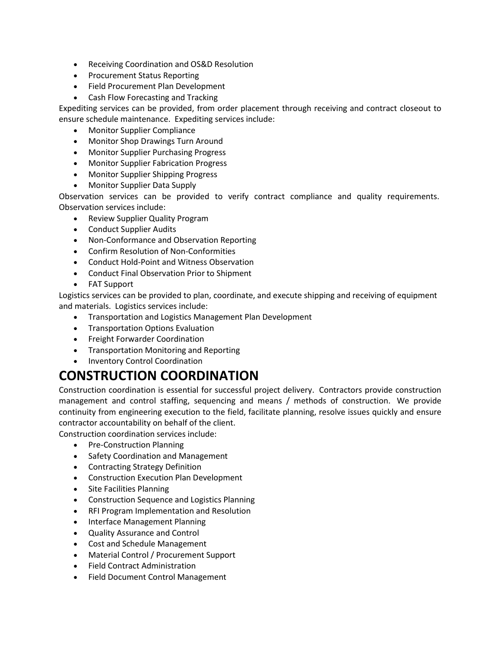- Receiving Coordination and OS&D Resolution
- Procurement Status Reporting
- Field Procurement Plan Development
- Cash Flow Forecasting and Tracking

Expediting services can be provided, from order placement through receiving and contract closeout to ensure schedule maintenance. Expediting services include:

- Monitor Supplier Compliance
- Monitor Shop Drawings Turn Around
- Monitor Supplier Purchasing Progress
- Monitor Supplier Fabrication Progress
- Monitor Supplier Shipping Progress
- Monitor Supplier Data Supply

Observation services can be provided to verify contract compliance and quality requirements. Observation services include:

- Review Supplier Quality Program
- Conduct Supplier Audits
- Non-Conformance and Observation Reporting
- Confirm Resolution of Non-Conformities
- Conduct Hold-Point and Witness Observation
- Conduct Final Observation Prior to Shipment
- FAT Support

Logistics services can be provided to plan, coordinate, and execute shipping and receiving of equipment and materials. Logistics services include:

- Transportation and Logistics Management Plan Development
- Transportation Options Evaluation
- Freight Forwarder Coordination
- Transportation Monitoring and Reporting
- Inventory Control Coordination

## CONSTRUCTION COORDINATION

Construction coordination is essential for successful project delivery. Contractors provide construction management and control staffing, sequencing and means / methods of construction. We provide continuity from engineering execution to the field, facilitate planning, resolve issues quickly and ensure contractor accountability on behalf of the client.

Construction coordination services include:

- Pre-Construction Planning
- Safety Coordination and Management
- Contracting Strategy Definition
- Construction Execution Plan Development
- Site Facilities Planning
- Construction Sequence and Logistics Planning
- RFI Program Implementation and Resolution
- Interface Management Planning
- Quality Assurance and Control
- Cost and Schedule Management
- Material Control / Procurement Support
- Field Contract Administration
- Field Document Control Management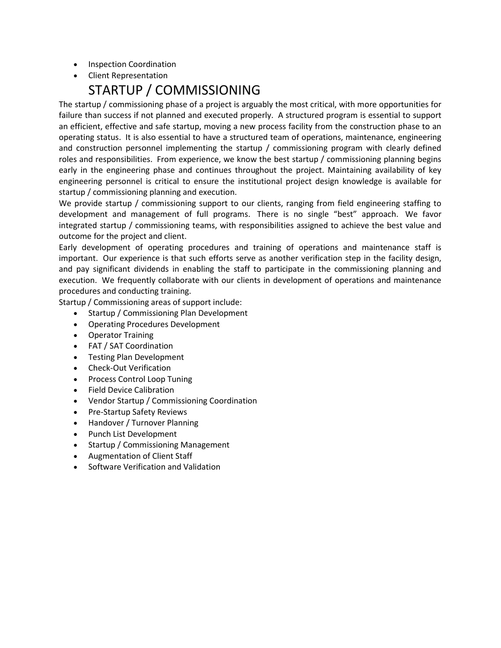- Inspection Coordination
- Client Representation

## STARTUP / COMMISSIONING

The startup / commissioning phase of a project is arguably the most critical, with more opportunities for failure than success if not planned and executed properly. A structured program is essential to support an efficient, effective and safe startup, moving a new process facility from the construction phase to an operating status. It is also essential to have a structured team of operations, maintenance, engineering and construction personnel implementing the startup / commissioning program with clearly defined roles and responsibilities. From experience, we know the best startup / commissioning planning begins early in the engineering phase and continues throughout the project. Maintaining availability of key engineering personnel is critical to ensure the institutional project design knowledge is available for startup / commissioning planning and execution.

We provide startup / commissioning support to our clients, ranging from field engineering staffing to development and management of full programs. There is no single "best" approach. We favor integrated startup / commissioning teams, with responsibilities assigned to achieve the best value and outcome for the project and client.

Early development of operating procedures and training of operations and maintenance staff is important. Our experience is that such efforts serve as another verification step in the facility design, and pay significant dividends in enabling the staff to participate in the commissioning planning and execution. We frequently collaborate with our clients in development of operations and maintenance procedures and conducting training.

Startup / Commissioning areas of support include:

- Startup / Commissioning Plan Development
- Operating Procedures Development
- Operator Training
- FAT / SAT Coordination
- Testing Plan Development
- Check-Out Verification
- Process Control Loop Tuning
- **•** Field Device Calibration
- Vendor Startup / Commissioning Coordination
- Pre-Startup Safety Reviews
- Handover / Turnover Planning
- Punch List Development
- Startup / Commissioning Management
- Augmentation of Client Staff
- Software Verification and Validation